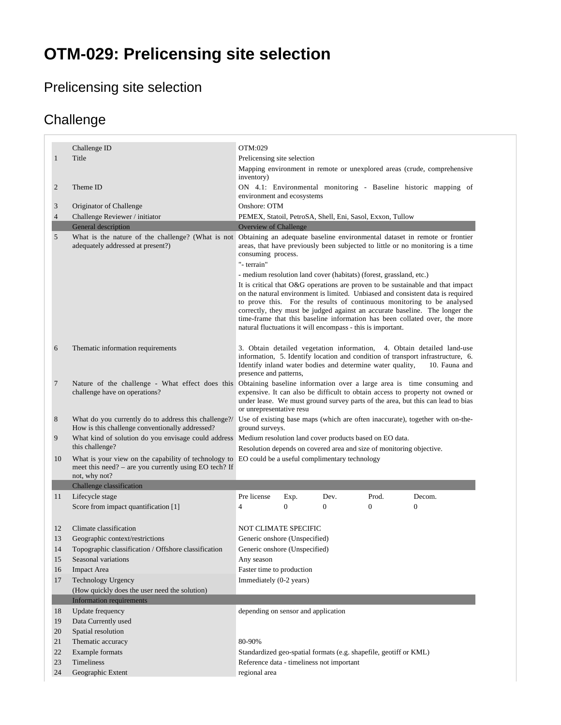# **OTM-029: Prelicensing site selection**

### Prelicensing site selection

#### **Challenge**

<span id="page-0-0"></span>

|                | Challenge ID                                                                                                  | OTM:029                                                                                                                                                                                                                                                                                                                |          |                |                                                                                                                                                                                                                                                                                                                                                                                                           |
|----------------|---------------------------------------------------------------------------------------------------------------|------------------------------------------------------------------------------------------------------------------------------------------------------------------------------------------------------------------------------------------------------------------------------------------------------------------------|----------|----------------|-----------------------------------------------------------------------------------------------------------------------------------------------------------------------------------------------------------------------------------------------------------------------------------------------------------------------------------------------------------------------------------------------------------|
| $\mathbf{1}$   | Title                                                                                                         | Prelicensing site selection                                                                                                                                                                                                                                                                                            |          |                |                                                                                                                                                                                                                                                                                                                                                                                                           |
|                |                                                                                                               | inventory)                                                                                                                                                                                                                                                                                                             |          |                | Mapping environment in remote or unexplored areas (crude, comprehensive                                                                                                                                                                                                                                                                                                                                   |
| 2              | Theme ID                                                                                                      | environment and ecosystems                                                                                                                                                                                                                                                                                             |          |                | ON 4.1: Environmental monitoring - Baseline historic mapping of                                                                                                                                                                                                                                                                                                                                           |
| 3              | Originator of Challenge                                                                                       | Onshore: OTM                                                                                                                                                                                                                                                                                                           |          |                |                                                                                                                                                                                                                                                                                                                                                                                                           |
| $\overline{4}$ | Challenge Reviewer / initiator                                                                                | PEMEX, Statoil, PetroSA, Shell, Eni, Sasol, Exxon, Tullow                                                                                                                                                                                                                                                              |          |                |                                                                                                                                                                                                                                                                                                                                                                                                           |
|                | General description                                                                                           | <b>Overview of Challenge</b>                                                                                                                                                                                                                                                                                           |          |                |                                                                                                                                                                                                                                                                                                                                                                                                           |
| 5              | What is the nature of the challenge? (What is not<br>adequately addressed at present?)                        | consuming process.<br>"- terrain"                                                                                                                                                                                                                                                                                      |          |                | Obtaining an adequate baseline environmental dataset in remote or frontier<br>areas, that have previously been subjected to little or no monitoring is a time                                                                                                                                                                                                                                             |
|                |                                                                                                               | - medium resolution land cover (habitats) (forest, grassland, etc.)                                                                                                                                                                                                                                                    |          |                |                                                                                                                                                                                                                                                                                                                                                                                                           |
|                |                                                                                                               | natural fluctuations it will encompass - this is important.                                                                                                                                                                                                                                                            |          |                | It is critical that O&G operations are proven to be sustainable and that impact<br>on the natural environment is limited. Unbiased and consistent data is required<br>to prove this. For the results of continuous monitoring to be analysed<br>correctly, they must be judged against an accurate baseline. The longer the<br>time-frame that this baseline information has been collated over, the more |
| 6              | Thematic information requirements                                                                             | 3. Obtain detailed vegetation information, 4. Obtain detailed land-use<br>information, 5. Identify location and condition of transport infrastructure, 6.<br>Identify inland water bodies and determine water quality,<br>10. Fauna and<br>presence and patterns,                                                      |          |                |                                                                                                                                                                                                                                                                                                                                                                                                           |
| 7              | challenge have on operations?                                                                                 | Nature of the challenge - What effect does this Obtaining baseline information over a large area is time consuming and<br>expensive. It can also be difficult to obtain access to property not owned or<br>under lease. We must ground survey parts of the area, but this can lead to bias<br>or unrepresentative resu |          |                |                                                                                                                                                                                                                                                                                                                                                                                                           |
| 8              | What do you currently do to address this challenge?/<br>How is this challenge conventionally addressed?       | Use of existing base maps (which are often inaccurate), together with on-the-<br>ground surveys.                                                                                                                                                                                                                       |          |                |                                                                                                                                                                                                                                                                                                                                                                                                           |
|                |                                                                                                               | What kind of solution do you envisage could address Medium resolution land cover products based on EO data.<br>Resolution depends on covered area and size of monitoring objective.                                                                                                                                    |          |                |                                                                                                                                                                                                                                                                                                                                                                                                           |
| 9              | this challenge?                                                                                               |                                                                                                                                                                                                                                                                                                                        |          |                |                                                                                                                                                                                                                                                                                                                                                                                                           |
| 10             | What is your view on the capability of technology to<br>meet this need? - are you currently using EO tech? If | EO could be a useful complimentary technology                                                                                                                                                                                                                                                                          |          |                |                                                                                                                                                                                                                                                                                                                                                                                                           |
|                | not, why not?                                                                                                 |                                                                                                                                                                                                                                                                                                                        |          |                |                                                                                                                                                                                                                                                                                                                                                                                                           |
|                | Challenge classification                                                                                      | Pre license                                                                                                                                                                                                                                                                                                            | Dev.     | Prod.          | Decom.                                                                                                                                                                                                                                                                                                                                                                                                    |
| 11             | Lifecycle stage                                                                                               | Exp.<br>$\overline{0}$<br>$\overline{4}$                                                                                                                                                                                                                                                                               | $\Omega$ | $\overline{0}$ | $\mathbf{0}$                                                                                                                                                                                                                                                                                                                                                                                              |
|                | Score from impact quantification [1]                                                                          |                                                                                                                                                                                                                                                                                                                        |          |                |                                                                                                                                                                                                                                                                                                                                                                                                           |
| 12             | Climate classification                                                                                        | NOT CLIMATE SPECIFIC                                                                                                                                                                                                                                                                                                   |          |                |                                                                                                                                                                                                                                                                                                                                                                                                           |
| 13             | Geographic context/restrictions                                                                               | Generic onshore (Unspecified)                                                                                                                                                                                                                                                                                          |          |                |                                                                                                                                                                                                                                                                                                                                                                                                           |
|                |                                                                                                               |                                                                                                                                                                                                                                                                                                                        |          |                |                                                                                                                                                                                                                                                                                                                                                                                                           |
| 14<br>15       | Topographic classification / Offshore classification<br>Seasonal variations                                   | Generic onshore (Unspecified)<br>Any season                                                                                                                                                                                                                                                                            |          |                |                                                                                                                                                                                                                                                                                                                                                                                                           |
| 16             | <b>Impact Area</b>                                                                                            | Faster time to production                                                                                                                                                                                                                                                                                              |          |                |                                                                                                                                                                                                                                                                                                                                                                                                           |
| 17             | Technology Urgency                                                                                            | Immediately (0-2 years)                                                                                                                                                                                                                                                                                                |          |                |                                                                                                                                                                                                                                                                                                                                                                                                           |
|                | (How quickly does the user need the solution)                                                                 |                                                                                                                                                                                                                                                                                                                        |          |                |                                                                                                                                                                                                                                                                                                                                                                                                           |
|                | <b>Information requirements</b>                                                                               |                                                                                                                                                                                                                                                                                                                        |          |                |                                                                                                                                                                                                                                                                                                                                                                                                           |
| 18             | Update frequency                                                                                              | depending on sensor and application                                                                                                                                                                                                                                                                                    |          |                |                                                                                                                                                                                                                                                                                                                                                                                                           |
| 19             | Data Currently used                                                                                           |                                                                                                                                                                                                                                                                                                                        |          |                |                                                                                                                                                                                                                                                                                                                                                                                                           |
| 20             | Spatial resolution                                                                                            |                                                                                                                                                                                                                                                                                                                        |          |                |                                                                                                                                                                                                                                                                                                                                                                                                           |
| 21             | Thematic accuracy                                                                                             | 80-90%                                                                                                                                                                                                                                                                                                                 |          |                |                                                                                                                                                                                                                                                                                                                                                                                                           |
| 22             | Example formats                                                                                               | Standardized geo-spatial formats (e.g. shapefile, geotiff or KML)                                                                                                                                                                                                                                                      |          |                |                                                                                                                                                                                                                                                                                                                                                                                                           |
| 23<br>24       | Timeliness<br>Geographic Extent                                                                               | Reference data - timeliness not important<br>regional area                                                                                                                                                                                                                                                             |          |                |                                                                                                                                                                                                                                                                                                                                                                                                           |